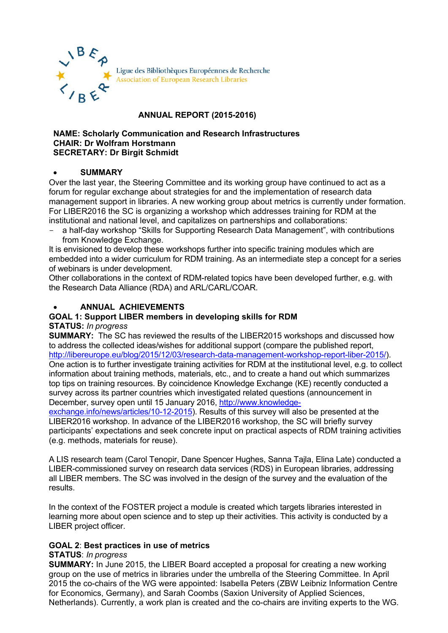

# **ANNUAL REPORT (2015-2016)**

#### **NAME: Scholarly Communication and Research Infrastructures CHAIR: Dr Wolfram Horstmann SECRETARY: Dr Birgit Schmidt**

#### • **SUMMARY**

Over the last year, the Steering Committee and its working group have continued to act as a forum for regular exchange about strategies for and the implementation of research data management support in libraries. A new working group about metrics is currently under formation. For LIBER2016 the SC is organizing a workshop which addresses training for RDM at the institutional and national level, and capitalizes on partnerships and collaborations:

- a half-day workshop "Skills for Supporting Research Data Management", with contributions from Knowledge Exchange.

It is envisioned to develop these workshops further into specific training modules which are embedded into a wider curriculum for RDM training. As an intermediate step a concept for a series of webinars is under development.

Other collaborations in the context of RDM-related topics have been developed further, e.g. with the Research Data Alliance (RDA) and ARL/CARL/COAR.

# • **ANNUAL ACHIEVEMENTS**

# **GOAL 1: Support LIBER members in developing skills for RDM**

**STATUS:** *In progress*

**SUMMARY:** The SC has reviewed the results of the LIBER2015 workshops and discussed how to address the collected ideas/wishes for additional support (compare the published report, [http://libereurope.eu/blog/2015/12/03/research-data-management-workshop-report-liber-2015/\)](http://libereurope.eu/blog/2015/12/03/research-data-management-workshop-report-liber-2015/). One action is to further investigate training activities for RDM at the institutional level, e.g. to collect information about training methods, materials, etc., and to create a hand out which summarizes top tips on training resources. By coincidence Knowledge Exchange (KE) recently conducted a survey across its partner countries which investigated related questions (announcement in December, survey open until 15 January 2016, [http://www.knowledge-](http://www.knowledge-exchange.info/news/articles/10-12-2015)

[exchange.info/news/articles/10-12-2015\)](http://www.knowledge-exchange.info/news/articles/10-12-2015). Results of this survey will also be presented at the LIBER2016 workshop. In advance of the LIBER2016 workshop, the SC will briefly survey participants' expectations and seek concrete input on practical aspects of RDM training activities (e.g. methods, materials for reuse).

A LIS research team (Carol Tenopir, Dane Spencer Hughes, Sanna Tajla, Elina Late) conducted a LIBER-commissioned survey on research data services (RDS) in European libraries, addressing all LIBER members. The SC was involved in the design of the survey and the evaluation of the results.

In the context of the FOSTER project a module is created which targets libraries interested in learning more about open science and to step up their activities. This activity is conducted by a LIBER project officer.

# **GOAL 2**: **Best practices in use of metrics**

#### **STATUS**: *In progress*

**SUMMARY:** In June 2015, the LIBER Board accepted a proposal for creating a new working group on the use of metrics in libraries under the umbrella of the Steering Committee. In April 2015 the co-chairs of the WG were appointed: Isabella Peters (ZBW Leibniz Information Centre for Economics, Germany), and Sarah Coombs (Saxion University of Applied Sciences, Netherlands). Currently, a work plan is created and the co-chairs are inviting experts to the WG.